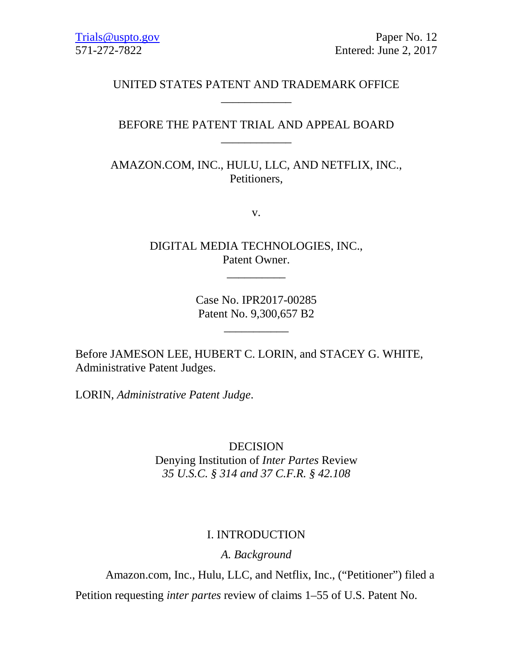# UNITED STATES PATENT AND TRADEMARK OFFICE \_\_\_\_\_\_\_\_\_\_\_\_

# BEFORE THE PATENT TRIAL AND APPEAL BOARD \_\_\_\_\_\_\_\_\_\_\_\_

AMAZON.COM, INC., HULU, LLC, AND NETFLIX, INC., Petitioners,

v.

DIGITAL MEDIA TECHNOLOGIES, INC., Patent Owner.

\_\_\_\_\_\_\_\_\_\_

Case No. IPR2017-00285 Patent No. 9,300,657 B2

\_\_\_\_\_\_\_\_\_\_\_

Before JAMESON LEE, HUBERT C. LORIN, and STACEY G. WHITE, Administrative Patent Judges.

LORIN, *Administrative Patent Judge*.

DECISION Denying Institution of *Inter Partes* Review *35 U.S.C. § 314 and 37 C.F.R. § 42.108*

## I. INTRODUCTION

*A. Background*

Amazon.com, Inc., Hulu, LLC, and Netflix, Inc., ("Petitioner") filed a

Petition requesting *inter partes* review of claims 1–55 of U.S. Patent No.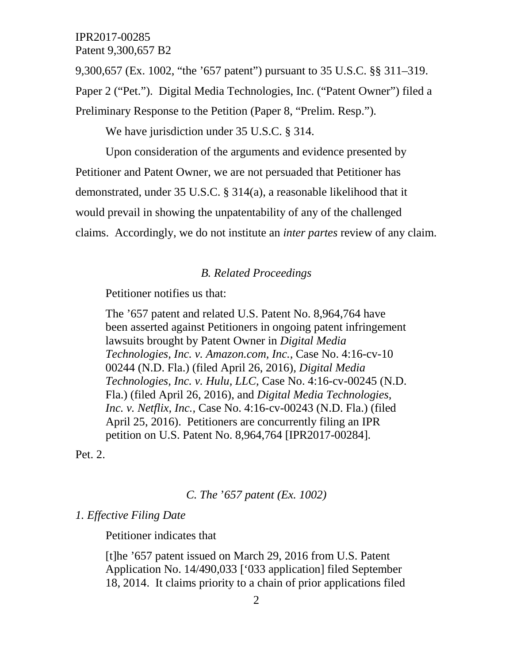9,300,657 (Ex. 1002, "the '657 patent") pursuant to 35 U.S.C. §§ 311–319.

Paper 2 ("Pet."). Digital Media Technologies, Inc. ("Patent Owner") filed a

Preliminary Response to the Petition (Paper 8, "Prelim. Resp.").

We have jurisdiction under 35 U.S.C. § 314.

Upon consideration of the arguments and evidence presented by Petitioner and Patent Owner, we are not persuaded that Petitioner has demonstrated, under 35 U.S.C. § 314(a), a reasonable likelihood that it would prevail in showing the unpatentability of any of the challenged claims. Accordingly, we do not institute an *inter partes* review of any claim.

## *B. Related Proceedings*

Petitioner notifies us that:

The '657 patent and related U.S. Patent No. 8,964,764 have been asserted against Petitioners in ongoing patent infringement lawsuits brought by Patent Owner in *Digital Media Technologies, Inc. v. Amazon.com, Inc.,* Case No. 4:16-cv-10 00244 (N.D. Fla.) (filed April 26, 2016)*, Digital Media Technologies, Inc. v. Hulu, LLC,* Case No. 4:16-cv-00245 (N.D. Fla.) (filed April 26, 2016), and *Digital Media Technologies, Inc. v. Netflix, Inc.,* Case No. 4:16-cv-00243 (N.D. Fla.) (filed April 25, 2016). Petitioners are concurrently filing an IPR petition on U.S. Patent No. 8,964,764 [IPR2017-00284].

Pet. 2.

*C. The* '*657 patent (Ex. 1002)*

#### *1. Effective Filing Date*

Petitioner indicates that

[t]he '657 patent issued on March 29, 2016 from U.S. Patent Application No. 14/490,033 ['033 application] filed September 18, 2014. It claims priority to a chain of prior applications filed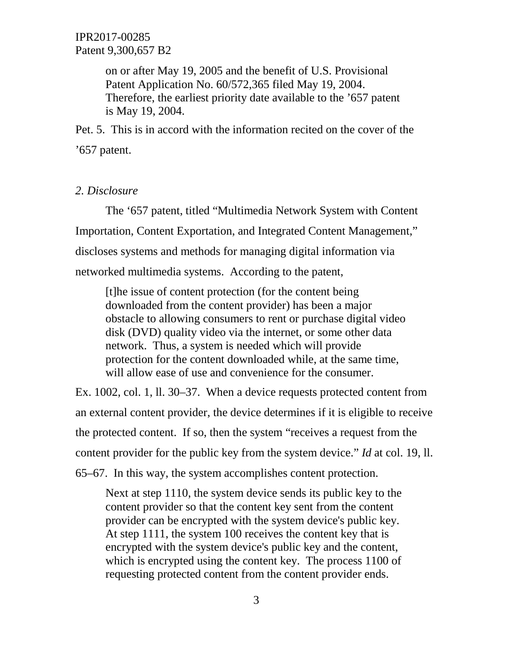> on or after May 19, 2005 and the benefit of U.S. Provisional Patent Application No. 60/572,365 filed May 19, 2004. Therefore, the earliest priority date available to the '657 patent is May 19, 2004.

Pet. 5. This is in accord with the information recited on the cover of the '657 patent.

## *2. Disclosure*

The '657 patent, titled "Multimedia Network System with Content Importation, Content Exportation, and Integrated Content Management," discloses systems and methods for managing digital information via networked multimedia systems. According to the patent,

[t]he issue of content protection (for the content being downloaded from the content provider) has been a major obstacle to allowing consumers to rent or purchase digital video disk (DVD) quality video via the internet, or some other data network. Thus, a system is needed which will provide protection for the content downloaded while, at the same time, will allow ease of use and convenience for the consumer.

Ex. 1002, col. 1, ll. 30–37. When a device requests protected content from an external content provider, the device determines if it is eligible to receive the protected content. If so, then the system "receives a request from the content provider for the public key from the system device." *Id* at col. 19, ll. 65–67. In this way, the system accomplishes content protection.

Next at step 1110, the system device sends its public key to the content provider so that the content key sent from the content provider can be encrypted with the system device's public key. At step 1111, the system 100 receives the content key that is encrypted with the system device's public key and the content, which is encrypted using the content key. The process 1100 of requesting protected content from the content provider ends.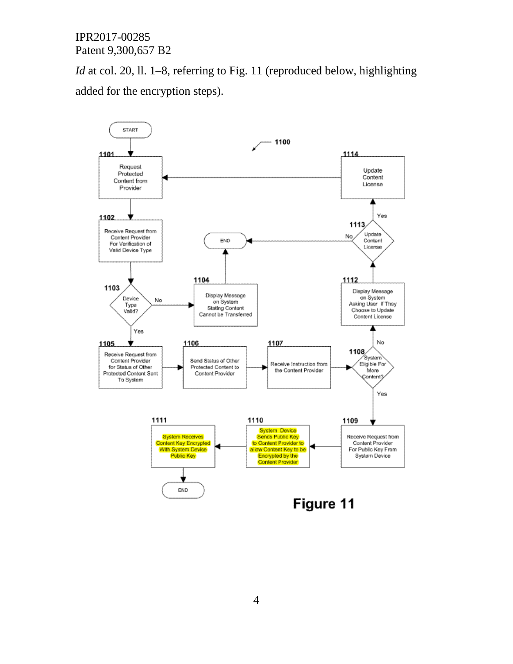*Id* at col. 20, ll. 1–8, referring to Fig. 11 (reproduced below, highlighting added for the encryption steps).

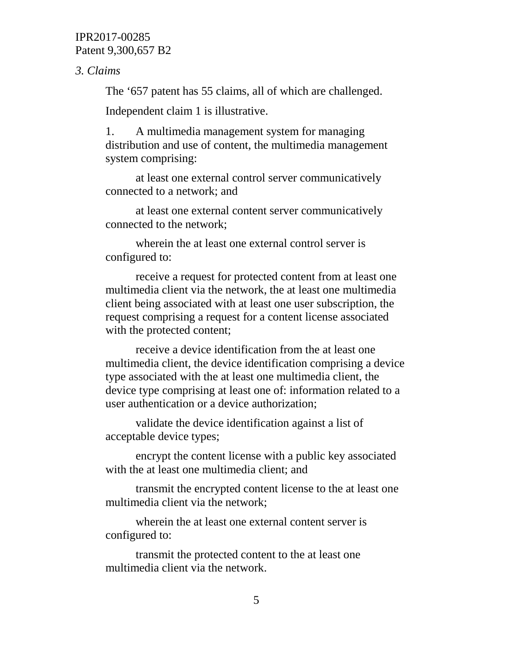*3. Claims*

The '657 patent has 55 claims, all of which are challenged.

Independent claim 1 is illustrative.

1. A multimedia management system for managing distribution and use of content, the multimedia management system comprising:

at least one external control server communicatively connected to a network; and

at least one external content server communicatively connected to the network;

wherein the at least one external control server is configured to:

receive a request for protected content from at least one multimedia client via the network, the at least one multimedia client being associated with at least one user subscription, the request comprising a request for a content license associated with the protected content;

receive a device identification from the at least one multimedia client, the device identification comprising a device type associated with the at least one multimedia client, the device type comprising at least one of: information related to a user authentication or a device authorization;

validate the device identification against a list of acceptable device types;

encrypt the content license with a public key associated with the at least one multimedia client; and

transmit the encrypted content license to the at least one multimedia client via the network;

wherein the at least one external content server is configured to:

transmit the protected content to the at least one multimedia client via the network.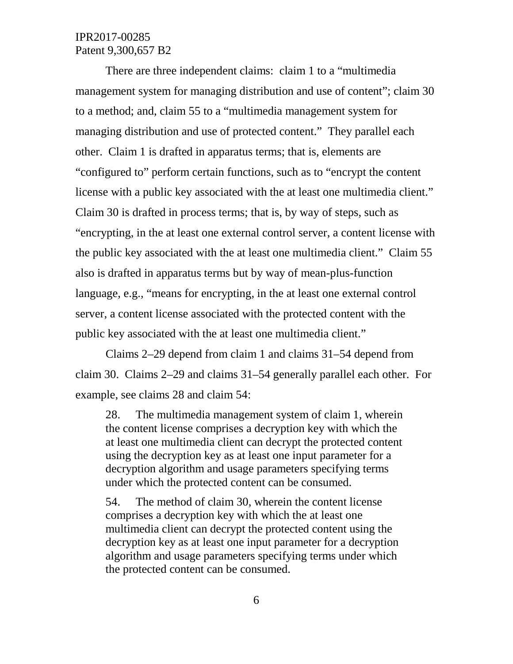There are three independent claims: claim 1 to a "multimedia management system for managing distribution and use of content"; claim 30 to a method; and, claim 55 to a "multimedia management system for managing distribution and use of protected content." They parallel each other. Claim 1 is drafted in apparatus terms; that is, elements are "configured to" perform certain functions, such as to "encrypt the content license with a public key associated with the at least one multimedia client." Claim 30 is drafted in process terms; that is, by way of steps, such as "encrypting, in the at least one external control server, a content license with the public key associated with the at least one multimedia client." Claim 55 also is drafted in apparatus terms but by way of mean-plus-function language, e.g., "means for encrypting, in the at least one external control server, a content license associated with the protected content with the public key associated with the at least one multimedia client."

Claims 2–29 depend from claim 1 and claims 31–54 depend from claim 30. Claims 2–29 and claims 31–54 generally parallel each other. For example, see claims 28 and claim 54:

28. The multimedia management system of claim 1, wherein the content license comprises a decryption key with which the at least one multimedia client can decrypt the protected content using the decryption key as at least one input parameter for a decryption algorithm and usage parameters specifying terms under which the protected content can be consumed.

54. The method of claim 30, wherein the content license comprises a decryption key with which the at least one multimedia client can decrypt the protected content using the decryption key as at least one input parameter for a decryption algorithm and usage parameters specifying terms under which the protected content can be consumed.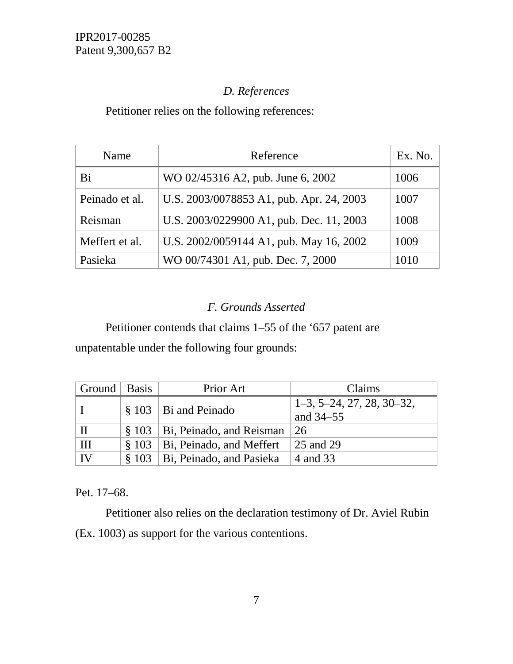# *D. References*

Petitioner relies on the following references:

| Name           | Reference                                 | Ex. No. |
|----------------|-------------------------------------------|---------|
| Bi             | WO 02/45316 A2, pub. June 6, 2002         | 1006    |
| Peinado et al. | U.S. 2003/0078853 A1, pub. Apr. 24, 2003  | 1007    |
| Reisman        | U.S. 2003/0229900 A1, pub. Dec. 11, 2003  | 1008    |
| Meffert et al. | U.S. 2002/0059144 A1, pub. May 16, 2002   | 1009    |
| Pasieka        | WO 00/74301 A1, pub. Dec. 7, 2000<br>1010 |         |

# *F. Grounds Asserted*

Petitioner contends that claims 1–55 of the '657 patent are

unpatentable under the following four grounds:

| Ground   Basis | Prior Art                                | Claims                      |
|----------------|------------------------------------------|-----------------------------|
|                | $\frac{8}{3}$ 103   Bi and Peinado       | $1-3, 5-24, 27, 28, 30-32,$ |
|                |                                          | and 34–55                   |
| $\mathbf{I}$   | $\S$ 103   Bi, Peinado, and Reisman   26 |                             |
| Ш              | $§ 103$   Bi, Peinado, and Meffert       | 25 and 29                   |
| IV             | § 103   Bi, Peinado, and Pasieka         | $\vert$ 4 and 33            |

Pet. 17–68.

Petitioner also relies on the declaration testimony of Dr. Aviel Rubin (Ex. 1003) as support for the various contentions.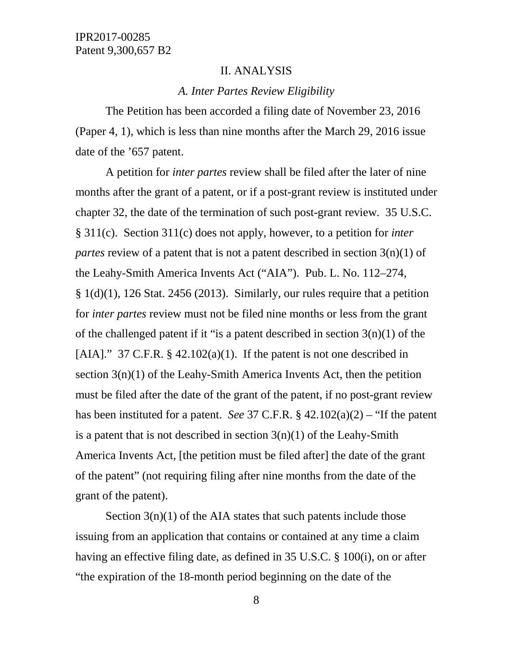#### II. ANALYSIS

#### *A. Inter Partes Review Eligibility*

The Petition has been accorded a filing date of November 23, 2016 (Paper 4, 1), which is less than nine months after the March 29, 2016 issue date of the '657 patent.

A petition for *inter partes* review shall be filed after the later of nine months after the grant of a patent, or if a post-grant review is instituted under chapter 32, the date of the termination of such post-grant review. 35 U.S.C. § 311(c). Section 311(c) does not apply, however, to a petition for *inter partes* review of a patent that is not a patent described in section 3(n)(1) of the Leahy-Smith America Invents Act ("AIA"). Pub. L. No. 112–274,  $§ 1(d)(1)$ , 126 Stat. 2456 (2013). Similarly, our rules require that a petition for *inter partes* review must not be filed nine months or less from the grant of the challenged patent if it "is a patent described in section  $3(n)(1)$  of the [AIA]." 37 C.F.R.  $\S$  42.102(a)(1). If the patent is not one described in section  $3(n)(1)$  of the Leahy-Smith America Invents Act, then the petition must be filed after the date of the grant of the patent, if no post-grant review has been instituted for a patent. *See* 37 C.F.R. § 42.102(a)(2) – "If the patent is a patent that is not described in section  $3(n)(1)$  of the Leahy-Smith America Invents Act, [the petition must be filed after] the date of the grant of the patent" (not requiring filing after nine months from the date of the grant of the patent).

Section  $3(n)(1)$  of the AIA states that such patents include those issuing from an application that contains or contained at any time a claim having an effective filing date, as defined in 35 U.S.C. § 100(i), on or after "the expiration of the 18-month period beginning on the date of the

8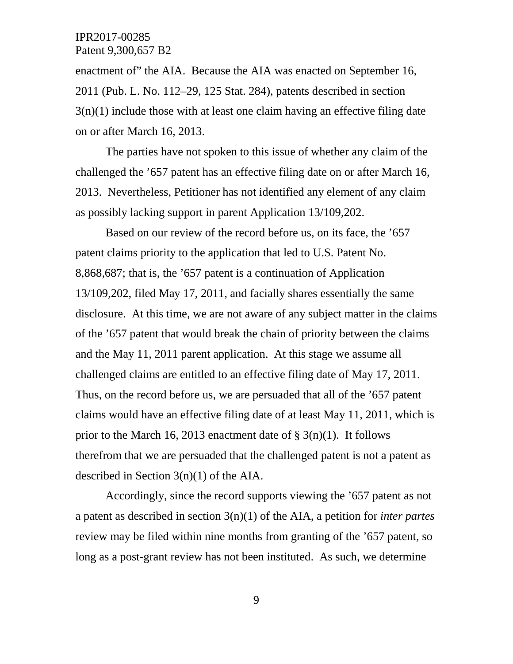enactment of" the AIA. Because the AIA was enacted on September 16, 2011 (Pub. L. No. 112–29, 125 Stat. 284), patents described in section  $3(n)(1)$  include those with at least one claim having an effective filing date on or after March 16, 2013.

The parties have not spoken to this issue of whether any claim of the challenged the '657 patent has an effective filing date on or after March 16, 2013. Nevertheless, Petitioner has not identified any element of any claim as possibly lacking support in parent Application 13/109,202.

Based on our review of the record before us, on its face, the '657 patent claims priority to the application that led to U.S. Patent No. 8,868,687; that is, the '657 patent is a continuation of Application 13/109,202, filed May 17, 2011, and facially shares essentially the same disclosure. At this time, we are not aware of any subject matter in the claims of the '657 patent that would break the chain of priority between the claims and the May 11, 2011 parent application. At this stage we assume all challenged claims are entitled to an effective filing date of May 17, 2011. Thus, on the record before us, we are persuaded that all of the '657 patent claims would have an effective filing date of at least May 11, 2011, which is prior to the March 16, 2013 enactment date of  $\S(3(n)(1))$ . It follows therefrom that we are persuaded that the challenged patent is not a patent as described in Section 3(n)(1) of the AIA.

Accordingly, since the record supports viewing the '657 patent as not a patent as described in section 3(n)(1) of the AIA, a petition for *inter partes* review may be filed within nine months from granting of the '657 patent, so long as a post-grant review has not been instituted. As such, we determine

9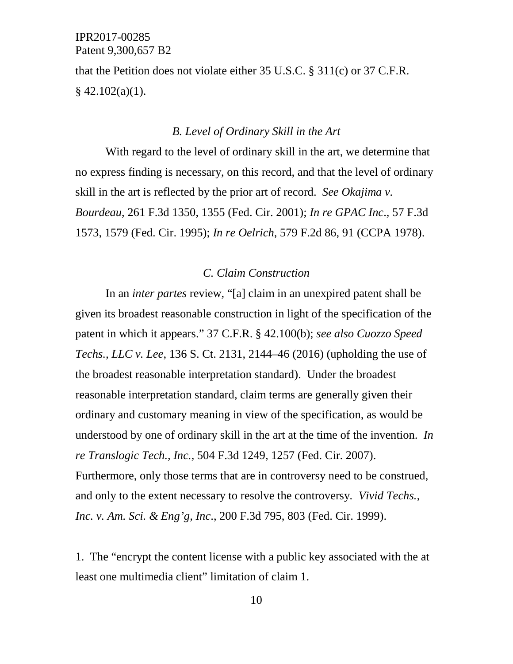that the Petition does not violate either 35 U.S.C. § 311(c) or 37 C.F.R.  $§$  42.102(a)(1).

#### *B. Level of Ordinary Skill in the Art*

With regard to the level of ordinary skill in the art, we determine that no express finding is necessary, on this record, and that the level of ordinary skill in the art is reflected by the prior art of record. *See Okajima v. Bourdeau*, 261 F.3d 1350, 1355 (Fed. Cir. 2001); *In re GPAC Inc*., 57 F.3d 1573, 1579 (Fed. Cir. 1995); *In re Oelrich*, 579 F.2d 86, 91 (CCPA 1978).

## *C. Claim Construction*

In an *inter partes* review, "[a] claim in an unexpired patent shall be given its broadest reasonable construction in light of the specification of the patent in which it appears." 37 C.F.R. § 42.100(b); *see also Cuozzo Speed Techs., LLC v. Lee*, 136 S. Ct. 2131, 2144–46 (2016) (upholding the use of the broadest reasonable interpretation standard). Under the broadest reasonable interpretation standard, claim terms are generally given their ordinary and customary meaning in view of the specification, as would be understood by one of ordinary skill in the art at the time of the invention. *In re Translogic Tech., Inc.*, 504 F.3d 1249, 1257 (Fed. Cir. 2007). Furthermore, only those terms that are in controversy need to be construed, and only to the extent necessary to resolve the controversy*. Vivid Techs., Inc. v. Am. Sci. & Eng'g, Inc*., 200 F.3d 795, 803 (Fed. Cir. 1999).

1. The "encrypt the content license with a public key associated with the at least one multimedia client" limitation of claim 1.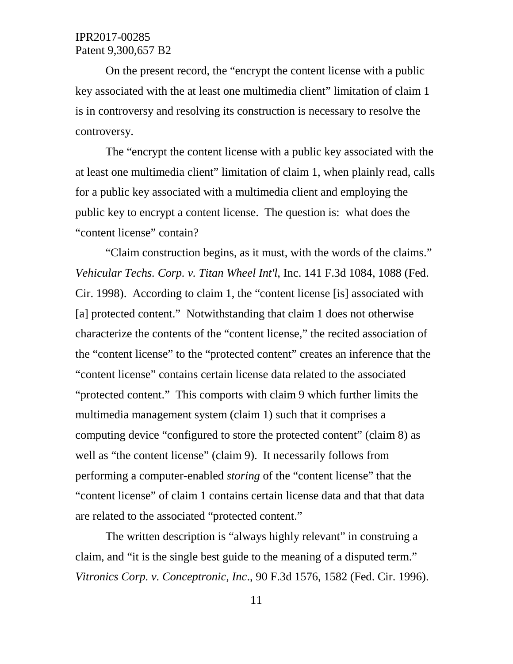On the present record, the "encrypt the content license with a public key associated with the at least one multimedia client" limitation of claim 1 is in controversy and resolving its construction is necessary to resolve the controversy.

The "encrypt the content license with a public key associated with the at least one multimedia client" limitation of claim 1, when plainly read, calls for a public key associated with a multimedia client and employing the public key to encrypt a content license. The question is: what does the "content license" contain?

"Claim construction begins, as it must, with the words of the claims." *Vehicular Techs. Corp. v. Titan Wheel Int'l*, Inc. 141 F.3d 1084, 1088 (Fed. Cir. 1998). According to claim 1, the "content license [is] associated with [a] protected content." Notwithstanding that claim 1 does not otherwise characterize the contents of the "content license," the recited association of the "content license" to the "protected content" creates an inference that the "content license" contains certain license data related to the associated "protected content." This comports with claim 9 which further limits the multimedia management system (claim 1) such that it comprises a computing device "configured to store the protected content" (claim 8) as well as "the content license" (claim 9). It necessarily follows from performing a computer-enabled *storing* of the "content license" that the "content license" of claim 1 contains certain license data and that that data are related to the associated "protected content."

The written description is "always highly relevant" in construing a claim, and "it is the single best guide to the meaning of a disputed term." *Vitronics Corp. v. Conceptronic, Inc*., 90 F.3d 1576, 1582 (Fed. Cir. 1996).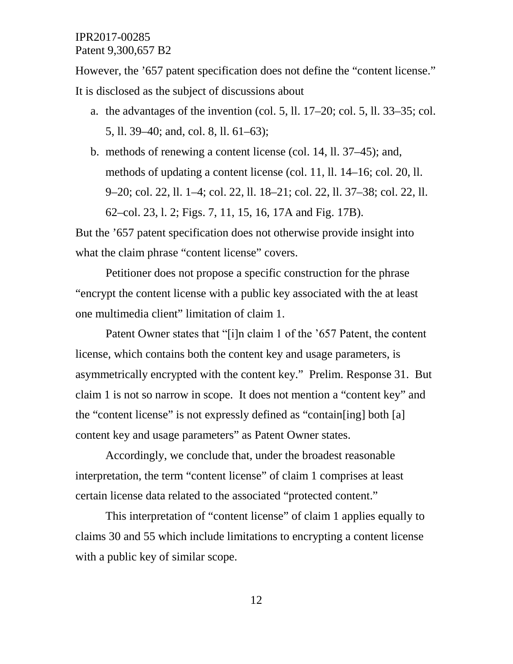However, the '657 patent specification does not define the "content license." It is disclosed as the subject of discussions about

- a. the advantages of the invention (col. 5, ll.  $17-20$ ; col. 5, ll.  $33-35$ ; col. 5, ll. 39–40; and, col. 8, ll. 61–63);
- b. methods of renewing a content license (col. 14, ll. 37–45); and, methods of updating a content license (col. 11, ll. 14–16; col. 20, ll. 9–20; col. 22, ll. 1–4; col. 22, ll. 18–21; col. 22, ll. 37–38; col. 22, ll. 62–col. 23, l. 2; Figs. 7, 11, 15, 16, 17A and Fig. 17B).

But the '657 patent specification does not otherwise provide insight into what the claim phrase "content license" covers.

Petitioner does not propose a specific construction for the phrase "encrypt the content license with a public key associated with the at least one multimedia client" limitation of claim 1.

Patent Owner states that "[i]n claim 1 of the '657 Patent, the content license, which contains both the content key and usage parameters, is asymmetrically encrypted with the content key." Prelim. Response 31. But claim 1 is not so narrow in scope. It does not mention a "content key" and the "content license" is not expressly defined as "contain[ing] both [a] content key and usage parameters" as Patent Owner states.

Accordingly, we conclude that, under the broadest reasonable interpretation, the term "content license" of claim 1 comprises at least certain license data related to the associated "protected content."

This interpretation of "content license" of claim 1 applies equally to claims 30 and 55 which include limitations to encrypting a content license with a public key of similar scope.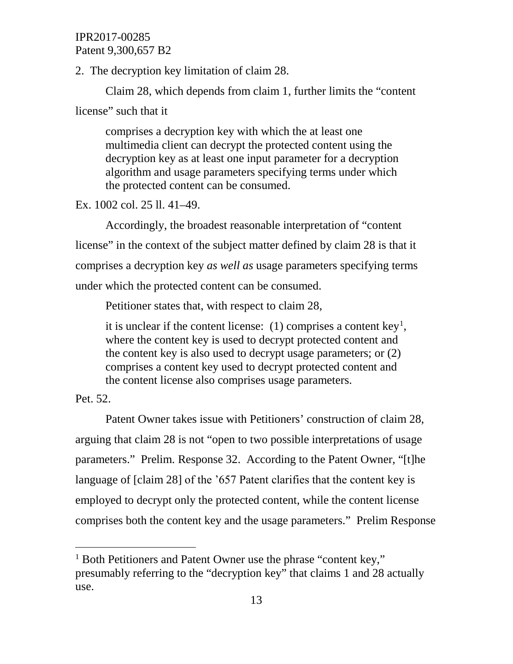2. The decryption key limitation of claim 28.

Claim 28, which depends from claim 1, further limits the "content license" such that it

comprises a decryption key with which the at least one multimedia client can decrypt the protected content using the decryption key as at least one input parameter for a decryption algorithm and usage parameters specifying terms under which the protected content can be consumed.

Ex. 1002 col. 25 ll. 41–49.

Accordingly, the broadest reasonable interpretation of "content license" in the context of the subject matter defined by claim 28 is that it comprises a decryption key *as well as* usage parameters specifying terms under which the protected content can be consumed.

Petitioner states that, with respect to claim 28,

it is unclear if the content license:  $(1)$  $(1)$  $(1)$  comprises a content key<sup>1</sup>, where the content key is used to decrypt protected content and the content key is also used to decrypt usage parameters; or (2) comprises a content key used to decrypt protected content and the content license also comprises usage parameters.

Pet. 52.

Patent Owner takes issue with Petitioners' construction of claim 28, arguing that claim 28 is not "open to two possible interpretations of usage parameters." Prelim. Response 32. According to the Patent Owner, "[t]he language of [claim 28] of the '657 Patent clarifies that the content key is employed to decrypt only the protected content, while the content license comprises both the content key and the usage parameters." Prelim Response

<span id="page-12-0"></span><sup>&</sup>lt;sup>1</sup> Both Petitioners and Patent Owner use the phrase "content key," presumably referring to the "decryption key" that claims 1 and 28 actually use.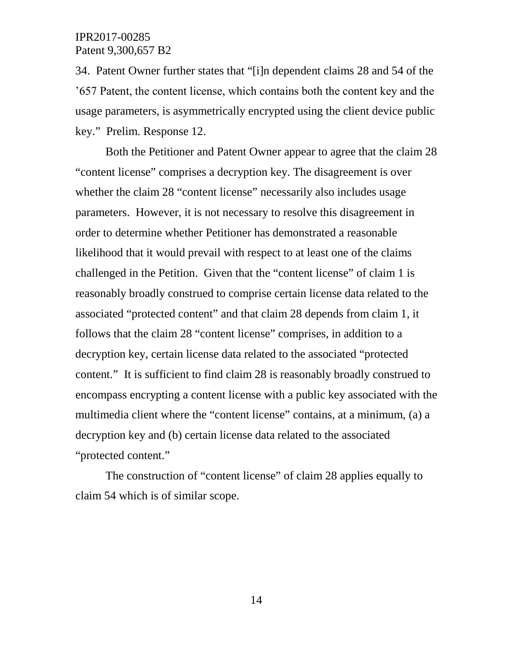34. Patent Owner further states that "[i]n dependent claims 28 and 54 of the '657 Patent, the content license, which contains both the content key and the usage parameters, is asymmetrically encrypted using the client device public key." Prelim. Response 12.

Both the Petitioner and Patent Owner appear to agree that the claim 28 "content license" comprises a decryption key. The disagreement is over whether the claim 28 "content license" necessarily also includes usage parameters. However, it is not necessary to resolve this disagreement in order to determine whether Petitioner has demonstrated a reasonable likelihood that it would prevail with respect to at least one of the claims challenged in the Petition. Given that the "content license" of claim 1 is reasonably broadly construed to comprise certain license data related to the associated "protected content" and that claim 28 depends from claim 1, it follows that the claim 28 "content license" comprises, in addition to a decryption key, certain license data related to the associated "protected content." It is sufficient to find claim 28 is reasonably broadly construed to encompass encrypting a content license with a public key associated with the multimedia client where the "content license" contains, at a minimum, (a) a decryption key and (b) certain license data related to the associated "protected content."

The construction of "content license" of claim 28 applies equally to claim 54 which is of similar scope.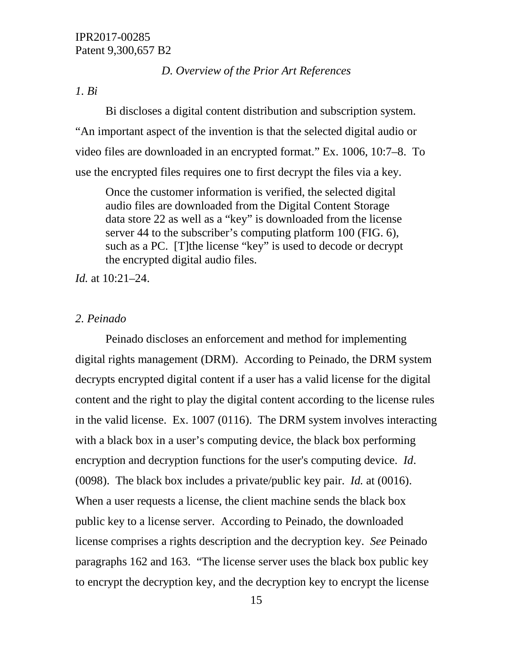## *D. Overview of the Prior Art References*

#### *1. Bi*

Bi discloses a digital content distribution and subscription system. "An important aspect of the invention is that the selected digital audio or video files are downloaded in an encrypted format." Ex. 1006, 10:7–8. To use the encrypted files requires one to first decrypt the files via a key.

Once the customer information is verified, the selected digital audio files are downloaded from the Digital Content Storage data store 22 as well as a "key" is downloaded from the license server 44 to the subscriber's computing platform 100 (FIG. 6), such as a PC. [T]the license "key" is used to decode or decrypt the encrypted digital audio files.

*Id.* at 10:21–24.

## *2. Peinado*

Peinado discloses an enforcement and method for implementing digital rights management (DRM). According to Peinado, the DRM system decrypts encrypted digital content if a user has a valid license for the digital content and the right to play the digital content according to the license rules in the valid license. Ex. 1007 (0116). The DRM system involves interacting with a black box in a user's computing device, the black box performing encryption and decryption functions for the user's computing device. *Id*. (0098). The black box includes a private/public key pair. *Id.* at (0016). When a user requests a license, the client machine sends the black box public key to a license server. According to Peinado, the downloaded license comprises a rights description and the decryption key. *See* Peinado paragraphs 162 and 163. "The license server uses the black box public key to encrypt the decryption key, and the decryption key to encrypt the license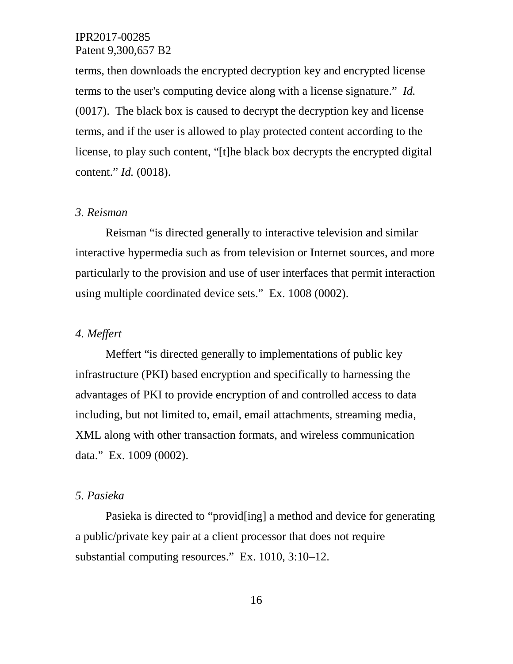terms, then downloads the encrypted decryption key and encrypted license terms to the user's computing device along with a license signature." *Id.* (0017). The black box is caused to decrypt the decryption key and license terms, and if the user is allowed to play protected content according to the license, to play such content, "[t]he black box decrypts the encrypted digital content." *Id.* (0018).

#### *3. Reisman*

Reisman "is directed generally to interactive television and similar interactive hypermedia such as from television or Internet sources, and more particularly to the provision and use of user interfaces that permit interaction using multiple coordinated device sets." Ex. 1008 (0002).

### *4. Meffert*

Meffert "is directed generally to implementations of public key infrastructure (PKI) based encryption and specifically to harnessing the advantages of PKI to provide encryption of and controlled access to data including, but not limited to, email, email attachments, streaming media, XML along with other transaction formats, and wireless communication data." Ex. 1009 (0002).

## *5. Pasieka*

Pasieka is directed to "provid[ing] a method and device for generating a public/private key pair at a client processor that does not require substantial computing resources." Ex. 1010, 3:10–12.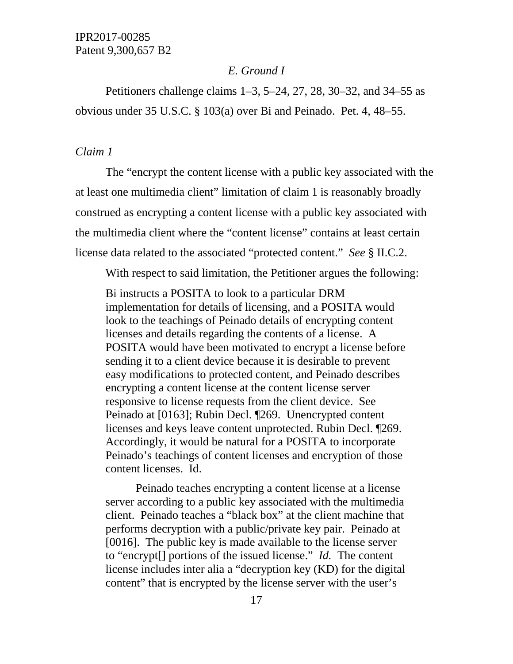## *E. Ground I*

Petitioners challenge claims 1–3, 5–24, 27, 28, 30–32, and 34–55 as obvious under 35 U.S.C. § 103(a) over Bi and Peinado. Pet. 4, 48–55.

#### *Claim 1*

The "encrypt the content license with a public key associated with the at least one multimedia client" limitation of claim 1 is reasonably broadly construed as encrypting a content license with a public key associated with the multimedia client where the "content license" contains at least certain license data related to the associated "protected content." *See* § II.C.2.

With respect to said limitation, the Petitioner argues the following:

Bi instructs a POSITA to look to a particular DRM implementation for details of licensing, and a POSITA would look to the teachings of Peinado details of encrypting content licenses and details regarding the contents of a license. A POSITA would have been motivated to encrypt a license before sending it to a client device because it is desirable to prevent easy modifications to protected content, and Peinado describes encrypting a content license at the content license server responsive to license requests from the client device. See Peinado at [0163]; Rubin Decl. ¶269. Unencrypted content licenses and keys leave content unprotected. Rubin Decl. ¶269. Accordingly, it would be natural for a POSITA to incorporate Peinado's teachings of content licenses and encryption of those content licenses. Id.

Peinado teaches encrypting a content license at a license server according to a public key associated with the multimedia client. Peinado teaches a "black box" at the client machine that performs decryption with a public/private key pair. Peinado at [0016]. The public key is made available to the license server to "encrypt[] portions of the issued license." *Id.* The content license includes inter alia a "decryption key (KD) for the digital content" that is encrypted by the license server with the user's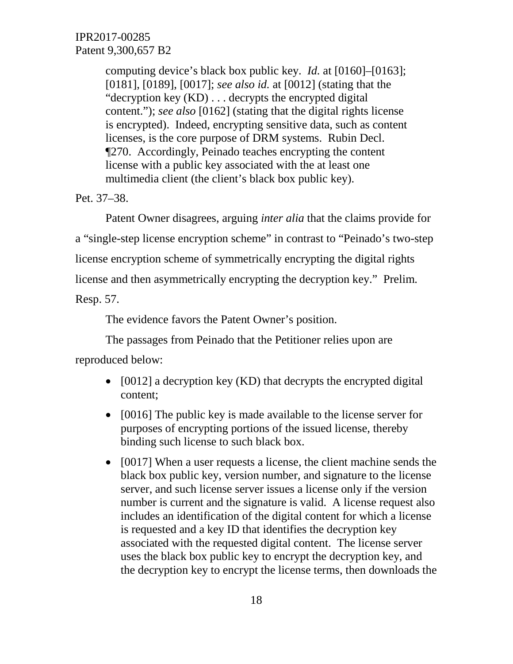computing device's black box public key. *Id.* at [0160]–[0163]; [0181], [0189], [0017]; *see also id.* at [0012] (stating that the "decryption key (KD) . . . decrypts the encrypted digital content."); *see also* [0162] (stating that the digital rights license is encrypted). Indeed, encrypting sensitive data, such as content licenses, is the core purpose of DRM systems. Rubin Decl. ¶270. Accordingly, Peinado teaches encrypting the content license with a public key associated with the at least one multimedia client (the client's black box public key).

Pet. 37–38.

Patent Owner disagrees, arguing *inter alia* that the claims provide for a "single-step license encryption scheme" in contrast to "Peinado's two-step license encryption scheme of symmetrically encrypting the digital rights license and then asymmetrically encrypting the decryption key." Prelim. Resp. 57.

The evidence favors the Patent Owner's position.

The passages from Peinado that the Petitioner relies upon are reproduced below:

- [0012] a decryption key (KD) that decrypts the encrypted digital content;
- [0016] The public key is made available to the license server for purposes of encrypting portions of the issued license, thereby binding such license to such black box.
- [0017] When a user requests a license, the client machine sends the black box public key, version number, and signature to the license server, and such license server issues a license only if the version number is current and the signature is valid. A license request also includes an identification of the digital content for which a license is requested and a key ID that identifies the decryption key associated with the requested digital content. The license server uses the black box public key to encrypt the decryption key, and the decryption key to encrypt the license terms, then downloads the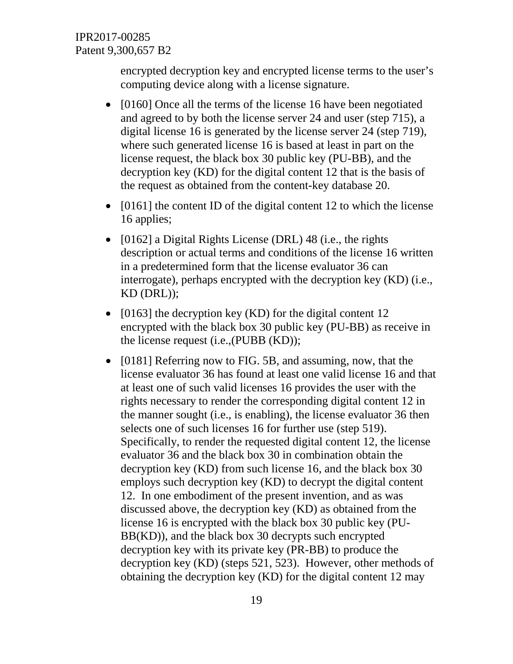encrypted decryption key and encrypted license terms to the user's computing device along with a license signature.

- [0160] Once all the terms of the license 16 have been negotiated and agreed to by both the license server 24 and user (step 715), a digital license 16 is generated by the license server 24 (step 719), where such generated license 16 is based at least in part on the license request, the black box 30 public key (PU-BB), and the decryption key (KD) for the digital content 12 that is the basis of the request as obtained from the content-key database 20.
- [0161] the content ID of the digital content 12 to which the license 16 applies;
- [0162] a Digital Rights License (DRL) 48 (i.e., the rights description or actual terms and conditions of the license 16 written in a predetermined form that the license evaluator 36 can interrogate), perhaps encrypted with the decryption key (KD) (i.e., KD (DRL));
- [0163] the decryption key (KD) for the digital content 12 encrypted with the black box 30 public key (PU-BB) as receive in the license request (i.e.,(PUBB (KD));
- [0181] Referring now to FIG. 5B, and assuming, now, that the license evaluator 36 has found at least one valid license 16 and that at least one of such valid licenses 16 provides the user with the rights necessary to render the corresponding digital content 12 in the manner sought (i.e., is enabling), the license evaluator 36 then selects one of such licenses 16 for further use (step 519). Specifically, to render the requested digital content 12, the license evaluator 36 and the black box 30 in combination obtain the decryption key (KD) from such license 16, and the black box 30 employs such decryption key (KD) to decrypt the digital content 12. In one embodiment of the present invention, and as was discussed above, the decryption key (KD) as obtained from the license 16 is encrypted with the black box 30 public key (PU-BB(KD)), and the black box 30 decrypts such encrypted decryption key with its private key (PR-BB) to produce the decryption key (KD) (steps 521, 523). However, other methods of obtaining the decryption key (KD) for the digital content 12 may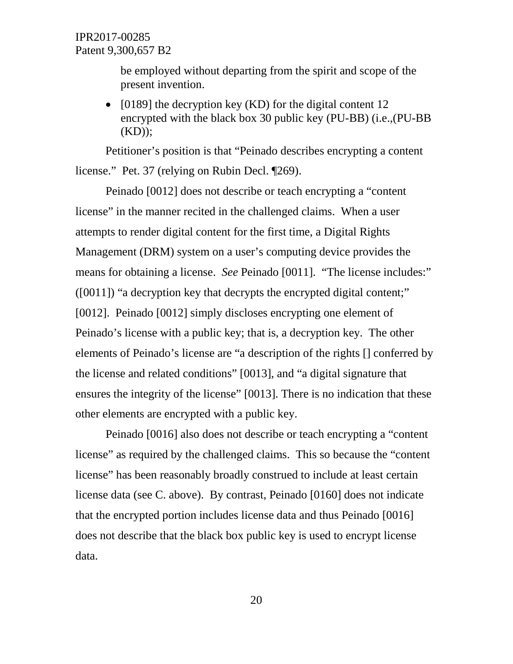be employed without departing from the spirit and scope of the present invention.

• [0189] the decryption key (KD) for the digital content 12 encrypted with the black box 30 public key (PU-BB) (i.e.,(PU-BB  $(KD)$ ;

Petitioner's position is that "Peinado describes encrypting a content license." Pet. 37 (relying on Rubin Decl. ¶269).

Peinado [0012] does not describe or teach encrypting a "content license" in the manner recited in the challenged claims. When a user attempts to render digital content for the first time, a Digital Rights Management (DRM) system on a user's computing device provides the means for obtaining a license. *See* Peinado [0011]. "The license includes:" ([0011]) "a decryption key that decrypts the encrypted digital content;" [0012]. Peinado [0012] simply discloses encrypting one element of Peinado's license with a public key; that is, a decryption key. The other elements of Peinado's license are "a description of the rights [] conferred by the license and related conditions" [0013], and "a digital signature that ensures the integrity of the license" [0013]. There is no indication that these other elements are encrypted with a public key.

Peinado [0016] also does not describe or teach encrypting a "content license" as required by the challenged claims. This so because the "content license" has been reasonably broadly construed to include at least certain license data (see C. above). By contrast, Peinado [0160] does not indicate that the encrypted portion includes license data and thus Peinado [0016] does not describe that the black box public key is used to encrypt license data.

20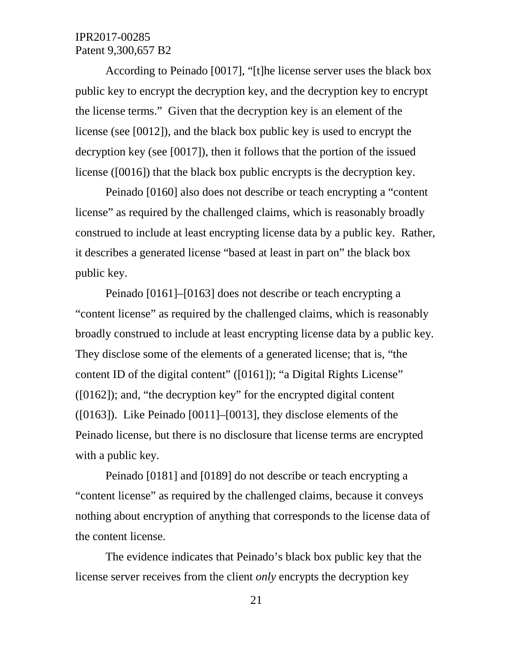According to Peinado [0017], "[t]he license server uses the black box public key to encrypt the decryption key, and the decryption key to encrypt the license terms." Given that the decryption key is an element of the license (see [0012]), and the black box public key is used to encrypt the decryption key (see [0017]), then it follows that the portion of the issued license ([0016]) that the black box public encrypts is the decryption key.

Peinado [0160] also does not describe or teach encrypting a "content license" as required by the challenged claims, which is reasonably broadly construed to include at least encrypting license data by a public key. Rather, it describes a generated license "based at least in part on" the black box public key.

Peinado [0161]–[0163] does not describe or teach encrypting a "content license" as required by the challenged claims, which is reasonably broadly construed to include at least encrypting license data by a public key. They disclose some of the elements of a generated license; that is, "the content ID of the digital content" ([0161]); "a Digital Rights License" ([0162]); and, "the decryption key" for the encrypted digital content ([0163]). Like Peinado [0011]–[0013], they disclose elements of the Peinado license, but there is no disclosure that license terms are encrypted with a public key.

Peinado [0181] and [0189] do not describe or teach encrypting a "content license" as required by the challenged claims, because it conveys nothing about encryption of anything that corresponds to the license data of the content license.

The evidence indicates that Peinado's black box public key that the license server receives from the client *only* encrypts the decryption key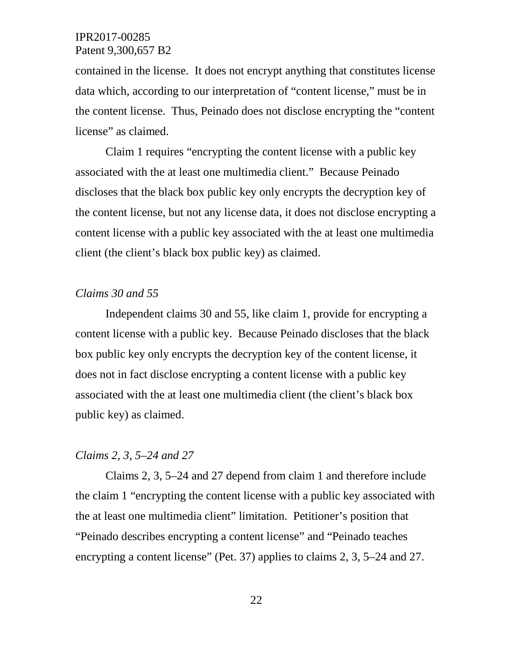contained in the license. It does not encrypt anything that constitutes license data which, according to our interpretation of "content license," must be in the content license. Thus, Peinado does not disclose encrypting the "content license" as claimed.

Claim 1 requires "encrypting the content license with a public key associated with the at least one multimedia client." Because Peinado discloses that the black box public key only encrypts the decryption key of the content license, but not any license data, it does not disclose encrypting a content license with a public key associated with the at least one multimedia client (the client's black box public key) as claimed.

### *Claims 30 and 55*

Independent claims 30 and 55, like claim 1, provide for encrypting a content license with a public key. Because Peinado discloses that the black box public key only encrypts the decryption key of the content license, it does not in fact disclose encrypting a content license with a public key associated with the at least one multimedia client (the client's black box public key) as claimed.

#### *Claims 2, 3, 5–24 and 27*

Claims 2, 3, 5–24 and 27 depend from claim 1 and therefore include the claim 1 "encrypting the content license with a public key associated with the at least one multimedia client" limitation. Petitioner's position that "Peinado describes encrypting a content license" and "Peinado teaches encrypting a content license" (Pet. 37) applies to claims 2, 3, 5–24 and 27.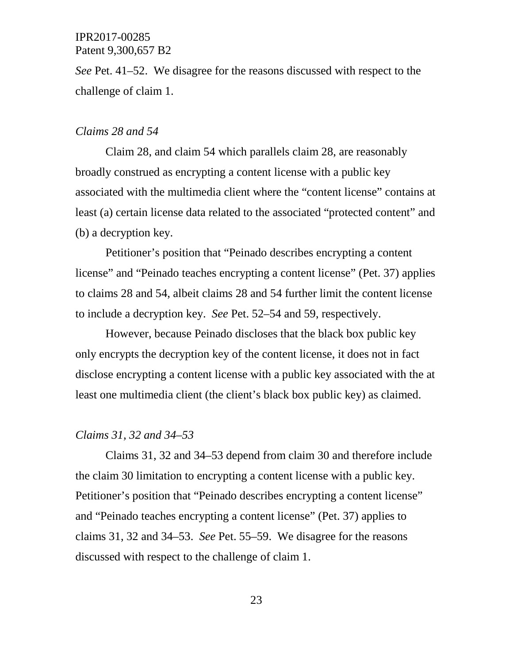*See* Pet. 41–52. We disagree for the reasons discussed with respect to the challenge of claim 1.

#### *Claims 28 and 54*

Claim 28, and claim 54 which parallels claim 28, are reasonably broadly construed as encrypting a content license with a public key associated with the multimedia client where the "content license" contains at least (a) certain license data related to the associated "protected content" and (b) a decryption key.

Petitioner's position that "Peinado describes encrypting a content license" and "Peinado teaches encrypting a content license" (Pet. 37) applies to claims 28 and 54, albeit claims 28 and 54 further limit the content license to include a decryption key. *See* Pet. 52–54 and 59, respectively.

However, because Peinado discloses that the black box public key only encrypts the decryption key of the content license, it does not in fact disclose encrypting a content license with a public key associated with the at least one multimedia client (the client's black box public key) as claimed.

#### *Claims 31, 32 and 34–53*

Claims 31, 32 and 34–53 depend from claim 30 and therefore include the claim 30 limitation to encrypting a content license with a public key. Petitioner's position that "Peinado describes encrypting a content license" and "Peinado teaches encrypting a content license" (Pet. 37) applies to claims 31, 32 and 34–53. *See* Pet. 55–59. We disagree for the reasons discussed with respect to the challenge of claim 1.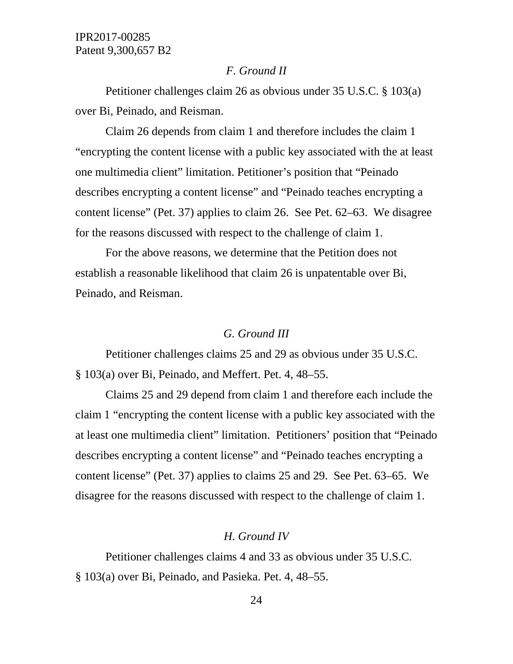## *F. Ground II*

Petitioner challenges claim 26 as obvious under 35 U.S.C. § 103(a) over Bi, Peinado, and Reisman.

Claim 26 depends from claim 1 and therefore includes the claim 1 "encrypting the content license with a public key associated with the at least one multimedia client" limitation. Petitioner's position that "Peinado describes encrypting a content license" and "Peinado teaches encrypting a content license" (Pet. 37) applies to claim 26. See Pet. 62–63. We disagree for the reasons discussed with respect to the challenge of claim 1.

For the above reasons, we determine that the Petition does not establish a reasonable likelihood that claim 26 is unpatentable over Bi, Peinado, and Reisman.

#### *G. Ground III*

Petitioner challenges claims 25 and 29 as obvious under 35 U.S.C. § 103(a) over Bi, Peinado, and Meffert. Pet. 4, 48–55.

Claims 25 and 29 depend from claim 1 and therefore each include the claim 1 "encrypting the content license with a public key associated with the at least one multimedia client" limitation. Petitioners' position that "Peinado describes encrypting a content license" and "Peinado teaches encrypting a content license" (Pet. 37) applies to claims 25 and 29. See Pet. 63–65. We disagree for the reasons discussed with respect to the challenge of claim 1.

## *H. Ground IV*

Petitioner challenges claims 4 and 33 as obvious under 35 U.S.C. § 103(a) over Bi, Peinado, and Pasieka. Pet. 4, 48–55.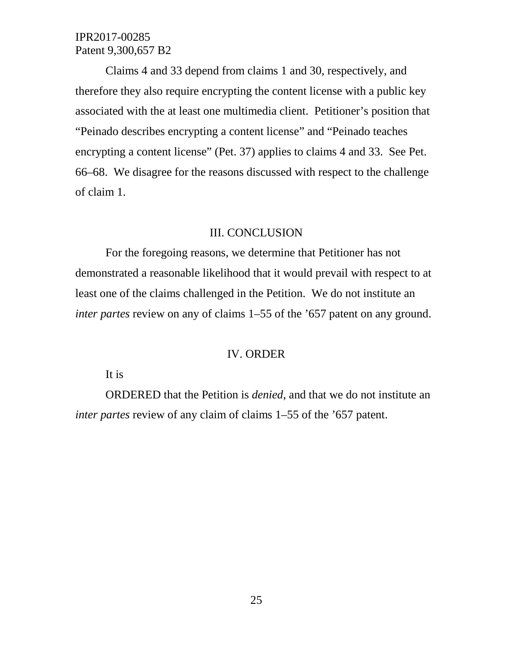Claims 4 and 33 depend from claims 1 and 30, respectively, and therefore they also require encrypting the content license with a public key associated with the at least one multimedia client. Petitioner's position that "Peinado describes encrypting a content license" and "Peinado teaches encrypting a content license" (Pet. 37) applies to claims 4 and 33. See Pet. 66–68. We disagree for the reasons discussed with respect to the challenge of claim 1.

#### III. CONCLUSION

For the foregoing reasons, we determine that Petitioner has not demonstrated a reasonable likelihood that it would prevail with respect to at least one of the claims challenged in the Petition. We do not institute an *inter partes review on any of claims 1–55 of the '657 patent on any ground.* 

## IV. ORDER

It is

ORDERED that the Petition is *denied*, and that we do not institute an *inter partes* review of any claim of claims 1–55 of the '657 patent.